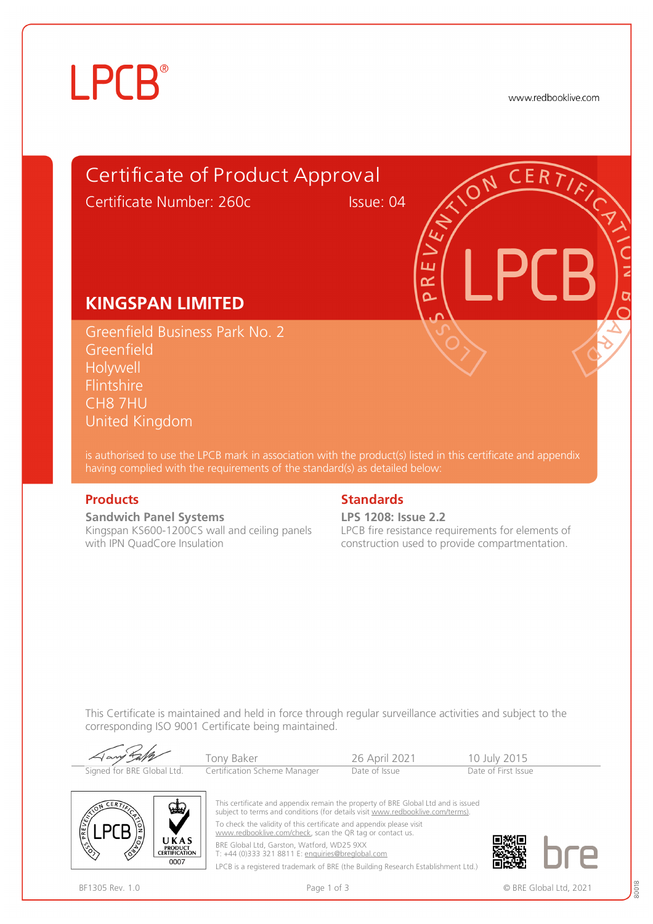# **LPCB**®

www.redbooklive.com

### Certificate of Product Approval

Certificate Number: 260c Issue: 04

ப طح Ò

### **KINGSPAN LIMITED**

Greenfield Business Park No. 2 Greenfield Holywell Flintshire CH8 7HU United Kingdom

is authorised to use the LPCB mark in association with the product(s) listed in this certificate and appendix having complied with the requirements of the standard(s) as detailed below:

**Sandwich Panel Systems**  Kingspan KS600-1200CS wall and ceiling panels with IPN QuadCore Insulation

#### **Products** Standards **Standards**

**LPS 1208: Issue 2.2**

LPCB fire resistance requirements for elements of construction used to provide compartmentation.

This Certificate is maintained and held in force through regular surveillance activities and subject to the corresponding ISO 9001 Certificate being maintained.

| Aany Laff                  | Tony Baker                   | 26 April 2021 | 10 July 2015        |
|----------------------------|------------------------------|---------------|---------------------|
| Signed for BRE Global Ltd. | Certification Scheme Manager | Date of Issue | Date of First Issue |



This certificate and appendix remain the property of BRE Global Ltd and is issued subject to terms and conditions (for details visit [www.redbooklive.com/terms\).](http://www.redbooklive.com/terms)) To check the validity of this certificate and appendix please visit [www.redbooklive.com/check](http://www.redbooklive.com/check), scan the QR tag or contact us. BRE Global Ltd, Garston, Watford, WD25 9XX T: +44 (0)333 321 8811 E: [enquiries@breglobal.com](mailto:enquiries@breglobal.com)

LPCB is a registered trademark of BRE (the Building Research Establishment Ltd.)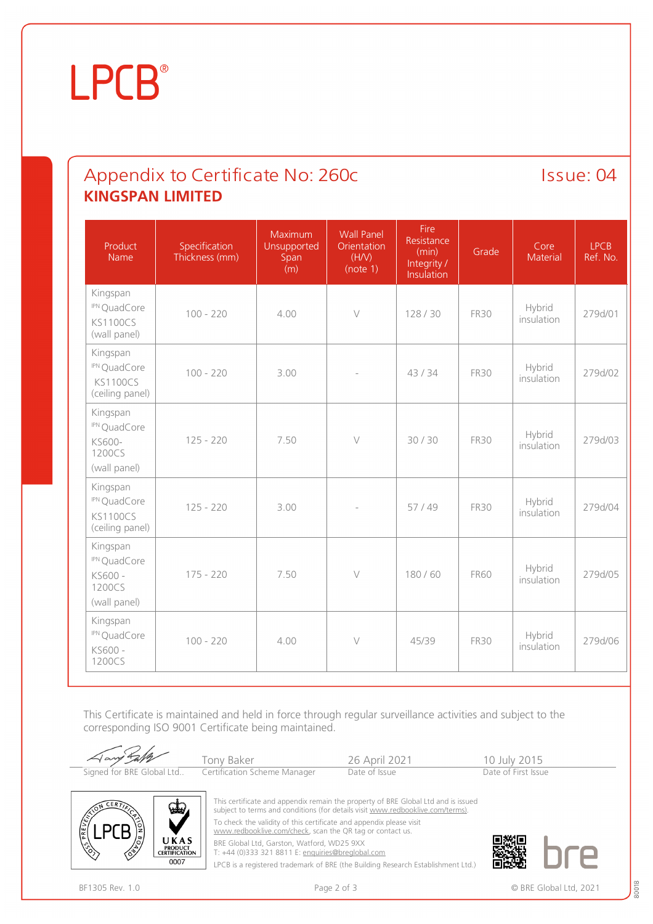### **LPCB**®

### Appendix to Certificate No: 260c Issue: 04 **KINGSPAN LIMITED**

| Product<br>Name                                                           | Specification<br>Thickness (mm) | Maximum<br>Unsupported<br>Span<br>(m) | <b>Wall Panel</b><br>Orientation<br>(H/N)<br>(note 1) | Fire<br>Resistance<br>(min)<br>Integrity /<br>Insulation | Grade       | Core<br>Material     | <b>LPCB</b><br>Ref. No. |
|---------------------------------------------------------------------------|---------------------------------|---------------------------------------|-------------------------------------------------------|----------------------------------------------------------|-------------|----------------------|-------------------------|
| Kingspan<br><sup>IPN</sup> QuadCore<br><b>KS1100CS</b><br>(wall panel)    | $100 - 220$                     | 4.00                                  | $\vee$                                                | 128/30                                                   | <b>FR30</b> | Hybrid<br>insulation | 279d/01                 |
| Kingspan<br><sup>IPN</sup> QuadCore<br><b>KS1100CS</b><br>(ceiling panel) | $100 - 220$                     | 3.00                                  |                                                       | 43/34                                                    | <b>FR30</b> | Hybrid<br>insulation | 279d/02                 |
| Kingspan<br><sup>IPN</sup> QuadCore<br>KS600-<br>1200CS<br>(wall panel)   | $125 - 220$                     | 7.50                                  | $\bigvee$                                             | 30/30                                                    | <b>FR30</b> | Hybrid<br>insulation | 279d/03                 |
| Kingspan<br>IPN QuadCore<br><b>KS1100CS</b><br>(ceiling panel)            | $125 - 220$                     | 3.00                                  |                                                       | 57/49                                                    | <b>FR30</b> | Hybrid<br>insulation | 279d/04                 |
| Kingspan<br><sup>IPN</sup> QuadCore<br>KS600 -<br>1200CS<br>(wall panel)  | $175 - 220$                     | 7.50                                  | $\bigvee$                                             | 180/60                                                   | <b>FR60</b> | Hybrid<br>insulation | 279d/05                 |
| Kingspan<br>IPN QuadCore<br>KS600 -<br>1200CS                             | $100 - 220$                     | 4.00                                  | $\vee$                                                | 45/39                                                    | <b>FR30</b> | Hybrid<br>insulation | 279d/06                 |

This Certificate is maintained and held in force through regular surveillance activities and subject to the corresponding ISO 9001 Certificate being maintained.





This certificate and appendix remain the property of BRE Global Ltd and is issued subject to terms and conditions (for details visit [www.redbooklive.com/terms\)](http://www.redbooklive.com/terms)). To check the validity of this certificate and appendix please visit

[www.redbooklive.com/check,](http://www.redbooklive.com/check) scan the QR tag or contact us.

BRE Global Ltd, Garston, Watford, WD25 9XX

T: +44 (0)333 321 8811 E: [enquiries@breglobal.com](mailto:enquiries@breglobal.com) LPCB is a registered trademark of BRE (the Building Research Establishment Ltd.)



80018